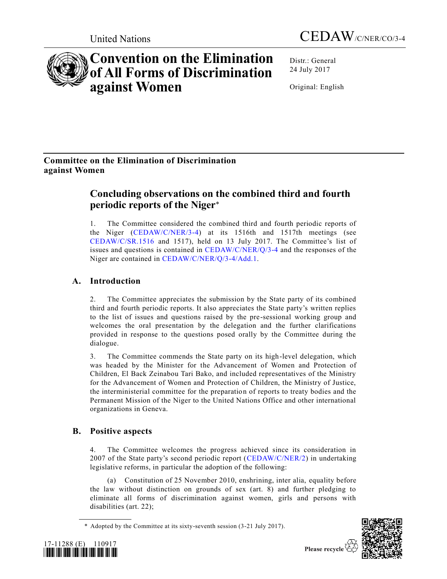



# **Convention on the Elimination of All Forms of Discrimination against Women**

Distr.: General 24 July 2017

Original: English

# **Committee on the Elimination of Discrimination against Women**

# **Concluding observations on the combined third and fourth periodic reports of the Niger**\*

1. The Committee considered the combined third and fourth periodic reports of the Niger [\(CEDAW/C/NER/3-4\)](https://undocs.org/CEDAW/C/NER/3) at its 1516th and 1517th meetings (see [CEDAW/C/SR.1516](https://undocs.org/CEDAW/C/SR.1516) and 1517), held on 13 July 2017. The Committee's list of issues and questions is contained in [CEDAW/C/NER/Q/3-4](https://undocs.org/CEDAW/C/NER/Q/3) and the responses of the Niger are contained in [CEDAW/C/NER/Q/3-4/Add.1.](https://undocs.org/CEDAW/C/NER/Q/3-4/Add.1)

# **A. Introduction**

2. The Committee appreciates the submission by the State party of its combined third and fourth periodic reports. It also appreciates the State party's written replies to the list of issues and questions raised by the pre-sessional working group and welcomes the oral presentation by the delegation and the further clarifications provided in response to the questions posed orally by the Committee during the dialogue.

3. The Committee commends the State party on its high-level delegation, which was headed by the Minister for the Advancement of Women and Protection of Children, El Back Zeinabou Tari Bako, and included representatives of the Ministry for the Advancement of Women and Protection of Children, the Ministry of Justice, the interministerial committee for the preparation of reports to treaty bodies and the Permanent Mission of the Niger to the United Nations Office and other international organizations in Geneva.

# **B. Positive aspects**

4. The Committee welcomes the progress achieved since its consideration in 2007 of the State party's second periodic report [\(CEDAW/C/NER/2\)](https://undocs.org/CEDAW/C/NER/2) in undertaking legislative reforms, in particular the adoption of the following:

(a) Constitution of 25 November 2010, enshrining, inter alia, equality before the law without distinction on grounds of sex (art. 8) and further pledging to eliminate all forms of discrimination against women, girls and persons with disabilities (art. 22);





<sup>\*</sup> Adopted by the Committee at its sixty-seventh session (3-21 July 2017).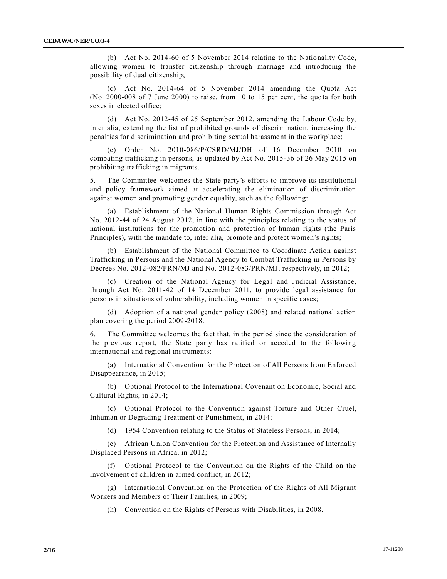(b) Act No. 2014-60 of 5 November 2014 relating to the Nationality Code, allowing women to transfer citizenship through marriage and introducing the possibility of dual citizenship;

(c) Act No. 2014-64 of 5 November 2014 amending the Quota Act (No. 2000-008 of 7 June 2000) to raise, from 10 to 15 per cent, the quota for both sexes in elected office;

(d) Act No. 2012-45 of 25 September 2012, amending the Labour Code by, inter alia, extending the list of prohibited grounds of discrimination, increasing the penalties for discrimination and prohibiting sexual harassment in the workplace;

(e) Order No. 2010-086/P/CSRD/MJ/DH of 16 December 2010 on combating trafficking in persons, as updated by Act No. 2015-36 of 26 May 2015 on prohibiting trafficking in migrants.

5. The Committee welcomes the State party's efforts to improve its institutional and policy framework aimed at accelerating the elimination of discrimination against women and promoting gender equality, such as the following:

(a) Establishment of the National Human Rights Commission through Act No. 2012-44 of 24 August 2012, in line with the principles relating to the status of national institutions for the promotion and protection of human rights (the Paris Principles), with the mandate to, inter alia, promote and protect women's rights;

(b) Establishment of the National Committee to Coordinate Action against Trafficking in Persons and the National Agency to Combat Trafficking in Persons by Decrees No. 2012-082/PRN/MJ and No. 2012-083/PRN/MJ, respectively, in 2012;

(c) Creation of the National Agency for Legal and Judicial Assistance, through Act No. 2011-42 of 14 December 2011, to provide legal assistance for persons in situations of vulnerability, including women in specific cases;

(d) Adoption of a national gender policy (2008) and related national action plan covering the period 2009-2018.

6. The Committee welcomes the fact that, in the period since the consideration of the previous report, the State party has ratified or acceded to the following international and regional instruments:

(a) International Convention for the Protection of All Persons from Enforced Disappearance, in 2015;

(b) Optional Protocol to the International Covenant on Economic, Social and Cultural Rights, in 2014;

(c) Optional Protocol to the Convention against Torture and Other Cruel, Inhuman or Degrading Treatment or Punishment, in 2014;

(d) 1954 Convention relating to the Status of Stateless Persons, in 2014;

(e) African Union Convention for the Protection and Assistance of Internally Displaced Persons in Africa, in 2012;

(f) Optional Protocol to the Convention on the Rights of the Child on the involvement of children in armed conflict, in 2012;

(g) International Convention on the Protection of the Rights of All Migrant Workers and Members of Their Families, in 2009;

(h) Convention on the Rights of Persons with Disabilities, in 2008.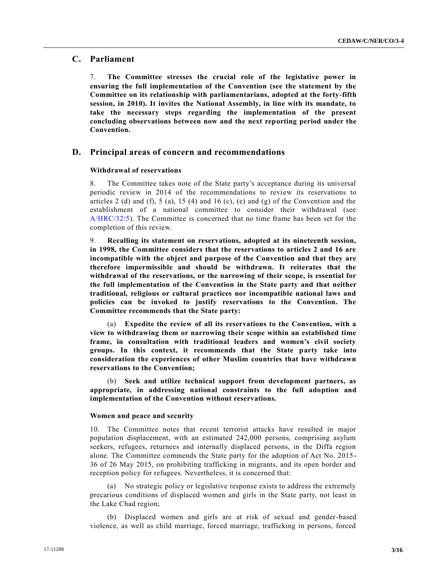# **C. Parliament**

7. **The Committee stresses the crucial role of the legislative power in ensuring the full implementation of the Convention (see the statement by the Committee on its relationship with parliamentarians, adopted at the forty-fifth session, in 2010). It invites the National Assembly, in line with its mandate, to take the necessary steps regarding the implementation of the present concluding observations between now and the next reporting period under the Convention.**

# **D. Principal areas of concern and recommendations**

#### **Withdrawal of reservations**

8. The Committee takes note of the State party's acceptance during its universal periodic review in 2014 of the recommendations to review its reservations to articles 2 (d) and (f), 5 (a), 15 (4) and 16 (c), (e) and (g) of the Convention and the establishment of a national committee to consider their withdrawal (see [A/HRC/32/5\)](https://undocs.org/A/HRC/32/5). The Committee is concerned that no time frame has been set for the completion of this review.

9. **Recalling its statement on reservations, adopted at its nineteenth session, in 1998, the Committee considers that the reservations to articles 2 and 16 are incompatible with the object and purpose of the Convention and that they are therefore impermissible and should be withdrawn. It reiterates that the withdrawal of the reservations, or the narrowing of their scope, is essential for the full implementation of the Convention in the State party and that neither traditional, religious or cultural practices nor incompatible national laws and policies can be invoked to justify reservations to the Convention. The Committee recommends that the State party:**

(a) **Expedite the review of all its reservations to the Convention, with a view to withdrawing them or narrowing their scope within an established time frame, in consultation with traditional leaders and women's civil society groups. In this context, it recommends that the State party take into consideration the experiences of other Muslim countries that have withdrawn reservations to the Convention;**

(b) **Seek and utilize technical support from development partners, as appropriate, in addressing national constraints to the full adoption and implementation of the Convention without reservations.**

#### **Women and peace and security**

10. The Committee notes that recent terrorist attacks have resulted in major population displacement, with an estimated 242,000 persons, comprising asylum seekers, refugees, returnees and internally displaced persons, in the Diffa region alone. The Committee commends the State party for the adoption of Act No. 2015 - 36 of 26 May 2015, on prohibiting trafficking in migrants, and its open border and reception policy for refugees. Nevertheless, it is concerned that:

(a) No strategic policy or legislative response exists to address the extremely precarious conditions of displaced women and girls in the State party, not least in the Lake Chad region;

(b) Displaced women and girls are at risk of sexual and gender-based violence, as well as child marriage, forced marriage, trafficking in persons, forced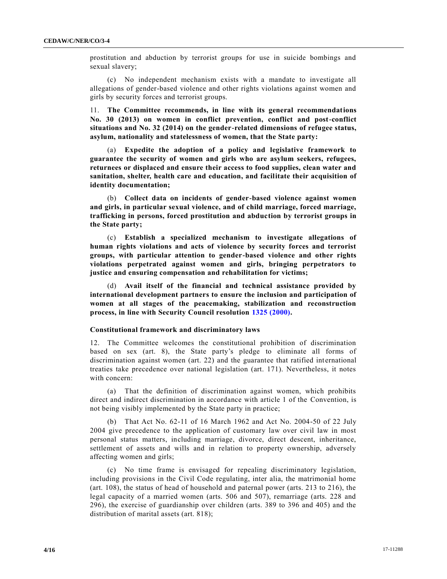prostitution and abduction by terrorist groups for use in suicide bombings and sexual slavery;

(c) No independent mechanism exists with a mandate to investigate all allegations of gender-based violence and other rights violations against women and girls by security forces and terrorist groups.

11. **The Committee recommends, in line with its general recommendations No. 30 (2013) on women in conflict prevention, conflict and post-conflict situations and No. 32 (2014) on the gender-related dimensions of refugee status, asylum, nationality and statelessness of women, that the State party:**

(a) **Expedite the adoption of a policy and legislative framework to guarantee the security of women and girls who are asylum seekers, refugees, returnees or displaced and ensure their access to food supplies, clean water and sanitation, shelter, health care and education, and facilitate their acquisition of identity documentation;**

(b) **Collect data on incidents of gender-based violence against women and girls, in particular sexual violence, and of child marriage, forced marriage, trafficking in persons, forced prostitution and abduction by terrorist groups in the State party;**

(c) **Establish a specialized mechanism to investigate allegations of human rights violations and acts of violence by security forces and terrorist groups, with particular attention to gender-based violence and other rights violations perpetrated against women and girls, bringing perpetrators to justice and ensuring compensation and rehabilitation for victims;**

(d) **Avail itself of the financial and technical assistance provided by international development partners to ensure the inclusion and participation of women at all stages of the peacemaking, stabilization and reconstruction process, in line with Security Council resolution [1325 \(2000\).](https://undocs.org/S/RES/1325(2000))**

#### **Constitutional framework and discriminatory laws**

12. The Committee welcomes the constitutional prohibition of discrimination based on sex (art. 8), the State party's pledge to eliminate all forms of discrimination against women (art. 22) and the guarantee that ratified int ernational treaties take precedence over national legislation (art. 171). Nevertheless, it notes with concern:

(a) That the definition of discrimination against women, which prohibits direct and indirect discrimination in accordance with article 1 of the Convention, is not being visibly implemented by the State party in practice;

(b) That Act No. 62-11 of 16 March 1962 and Act No. 2004-50 of 22 July 2004 give precedence to the application of customary law over civil law in most personal status matters, including marriage, divorce, direct descent, inheritance, settlement of assets and wills and in relation to property ownership, adversely affecting women and girls;

(c) No time frame is envisaged for repealing discriminatory legislation, including provisions in the Civil Code regulating, inter alia, the matrimonial home (art. 108), the status of head of household and paternal power (arts. 213 to 216), the legal capacity of a married women (arts. 506 and 507), remarriage (arts. 228 and 296), the exercise of guardianship over children (arts. 389 to 396 and 405) and the distribution of marital assets (art. 818);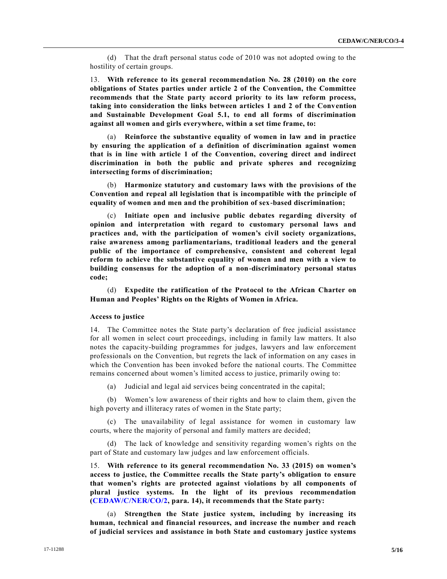(d) That the draft personal status code of 2010 was not adopted owing to the hostility of certain groups.

13. **With reference to its general recommendation No. 28 (2010) on the core obligations of States parties under article 2 of the Convention, the Committee recommends that the State party accord priority to its law reform process, taking into consideration the links between articles 1 and 2 of the Convention and Sustainable Development Goal 5.1, to end all forms of discrimination against all women and girls everywhere, within a set time frame, to:**

(a) **Reinforce the substantive equality of women in law and in practice by ensuring the application of a definition of discrimination against women that is in line with article 1 of the Convention, covering direct and indirect discrimination in both the public and private spheres and recognizing intersecting forms of discrimination;**

(b) **Harmonize statutory and customary laws with the provisions of the Convention and repeal all legislation that is incompatible with the principle of equality of women and men and the prohibition of sex-based discrimination;**

(c) **Initiate open and inclusive public debates regarding diversity of opinion and interpretation with regard to customary personal laws and practices and, with the participation of women's civil society organizations, raise awareness among parliamentarians, traditional leaders and the general public of the importance of comprehensive, consistent and coherent legal reform to achieve the substantive equality of women and men with a view to building consensus for the adoption of a non-discriminatory personal status code;**

(d) **Expedite the ratification of the Protocol to the African Charter on Human and Peoples' Rights on the Rights of Women in Africa.**

## **Access to justice**

14. The Committee notes the State party's declaration of free judicial assistance for all women in select court proceedings, including in family law matters. It also notes the capacity-building programmes for judges, lawyers and law enforcement professionals on the Convention, but regrets the lack of information on any cases in which the Convention has been invoked before the national courts. The Committee remains concerned about women's limited access to justice, primarily owing to:

(a) Judicial and legal aid services being concentrated in the capital;

(b) Women's low awareness of their rights and how to claim them, given the high poverty and illiteracy rates of women in the State party;

(c) The unavailability of legal assistance for women in customary law courts, where the majority of personal and family matters are decided;

(d) The lack of knowledge and sensitivity regarding women's rights on the part of State and customary law judges and law enforcement officials.

15. **With reference to its general recommendation No. 33 (2015) on women's access to justice, the Committee recalls the State party's obligation to ensure that women's rights are protected against violations by all components of plural justice systems. In the light of its previous recommendation [\(CEDAW/C/NER/CO/2,](https://undocs.org/CEDAW/C/NER/CO/2) para. 14), it recommends that the State party:**

(a) **Strengthen the State justice system, including by increasing its human, technical and financial resources, and increase the number and reach of judicial services and assistance in both State and customary justice systems**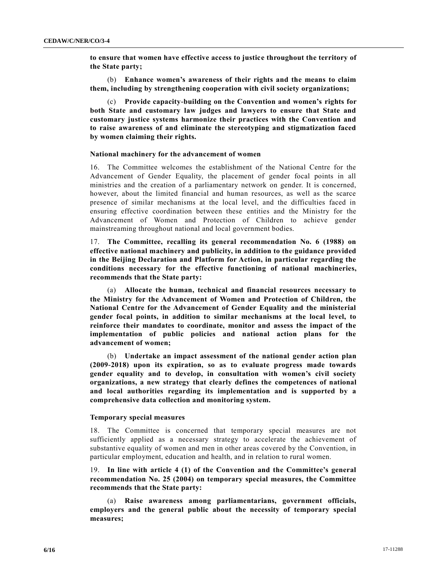**to ensure that women have effective access to justice throughout the territory of the State party;**

(b) **Enhance women's awareness of their rights and the means to claim them, including by strengthening cooperation with civil society organizations;**

(c) **Provide capacity-building on the Convention and women's rights for both State and customary law judges and lawyers to ensure that State and customary justice systems harmonize their practices with the Convention and to raise awareness of and eliminate the stereotyping and stigmatization faced by women claiming their rights.**

#### **National machinery for the advancement of women**

16. The Committee welcomes the establishment of the National Centre for the Advancement of Gender Equality, the placement of gender focal points in all ministries and the creation of a parliamentary network on gender. It is concerned, however, about the limited financial and human resources, as well as the scarce presence of similar mechanisms at the local level, and the difficulties faced in ensuring effective coordination between these entities and the Ministry for the Advancement of Women and Protection of Children to achieve gender mainstreaming throughout national and local government bodies.

17. **The Committee, recalling its general recommendation No. 6 (1988) on effective national machinery and publicity, in addition to the guidance provided in the Beijing Declaration and Platform for Action, in particular regarding the conditions necessary for the effective functioning of national machineries, recommends that the State party:**

(a) **Allocate the human, technical and financial resources necessary to the Ministry for the Advancement of Women and Protection of Children, the National Centre for the Advancement of Gender Equality and the ministerial gender focal points, in addition to similar mechanisms at the local level, to reinforce their mandates to coordinate, monitor and assess the impact of the implementation of public policies and national action plans for the advancement of women;**

(b) **Undertake an impact assessment of the national gender action plan (2009-2018) upon its expiration, so as to evaluate progress made towards gender equality and to develop, in consultation with women's civil society organizations, a new strategy that clearly defines the competences of national and local authorities regarding its implementation and is supported by a comprehensive data collection and monitoring system.**

#### **Temporary special measures**

18. The Committee is concerned that temporary special measures are not sufficiently applied as a necessary strategy to accelerate the achievement of substantive equality of women and men in other areas covered by the Convention, in particular employment, education and health, and in relation to rural women.

19. **In line with article 4 (1) of the Convention and the Committee's general recommendation No. 25 (2004) on temporary special measures, the Committee recommends that the State party:**

(a) **Raise awareness among parliamentarians, government officials, employers and the general public about the necessity of temporary special measures;**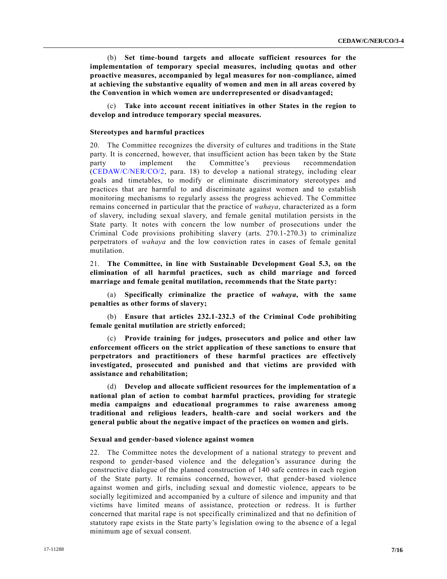(b) **Set time-bound targets and allocate sufficient resources for the implementation of temporary special measures, including quotas and other proactive measures, accompanied by legal measures for non-compliance, aimed at achieving the substantive equality of women and men in all areas covered by the Convention in which women are underrepresented or disadvantaged;**

(c) **Take into account recent initiatives in other States in the region to develop and introduce temporary special measures.**

# **Stereotypes and harmful practices**

20. The Committee recognizes the diversity of cultures and traditions in the State party. It is concerned, however, that insufficient action has been taken by the State party to implement the Committee's previous recommendation [\(CEDAW/C/NER/CO/2,](https://undocs.org/CEDAW/C/NER/CO/2) para. 18) to develop a national strategy, including clear goals and timetables, to modify or eliminate discriminatory stereotypes and practices that are harmful to and discriminate against women and to establish monitoring mechanisms to regularly assess the progress achieved. The Committee remains concerned in particular that the practice of *wahaya*, characterized as a form of slavery, including sexual slavery, and female genital mutilation persists in the State party. It notes with concern the low number of prosecutions under the Criminal Code provisions prohibiting slavery (arts. 270.1-270.3) to criminalize perpetrators of *wahaya* and the low conviction rates in cases of female genital mutilation.

21. **The Committee, in line with Sustainable Development Goal 5.3, on the elimination of all harmful practices, such as child marriage and forced marriage and female genital mutilation, recommends that the State party:**

(a) **Specifically criminalize the practice of** *wahaya***, with the same penalties as other forms of slavery;**

(b) **Ensure that articles 232.1-232.3 of the Criminal Code prohibiting female genital mutilation are strictly enforced;**

(c) **Provide training for judges, prosecutors and police and other law enforcement officers on the strict application of these sanctions to ensure that perpetrators and practitioners of these harmful practices are effectively investigated, prosecuted and punished and that victims are provided with assistance and rehabilitation;**

(d) **Develop and allocate sufficient resources for the implementation of a national plan of action to combat harmful practices, providing for strategic media campaigns and educational programmes to raise awareness among traditional and religious leaders, health-care and social workers and the general public about the negative impact of the practices on women and girls.**

#### **Sexual and gender-based violence against women**

22. The Committee notes the development of a national strategy to prevent and respond to gender-based violence and the delegation's assurance during the constructive dialogue of the planned construction of 140 safe centres in each region of the State party. It remains concerned, however, that gender-based violence against women and girls, including sexual and domestic violence, appears to be socially legitimized and accompanied by a culture of silence and impunity and that victims have limited means of assistance, protection or redress. It is further concerned that marital rape is not specifically criminalized and that no definition of statutory rape exists in the State party's legislation owing to the absence of a legal minimum age of sexual consent.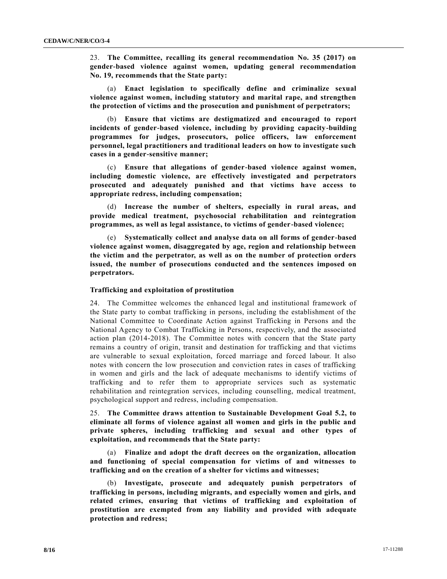23. **The Committee, recalling its general recommendation No. 35 (2017) on gender-based violence against women, updating general recommendation No. 19, recommends that the State party:**

(a) **Enact legislation to specifically define and criminalize sexual violence against women, including statutory and marital rape, and strengthen the protection of victims and the prosecution and punishment of perpetrators;**

(b) **Ensure that victims are destigmatized and encouraged to report incidents of gender-based violence, including by providing capacity-building programmes for judges, prosecutors, police officers, law enforcement personnel, legal practitioners and traditional leaders on how to investigate such cases in a gender-sensitive manner;**

(c) **Ensure that allegations of gender-based violence against women, including domestic violence, are effectively investigated and perpetrators prosecuted and adequately punished and that victims have access to appropriate redress, including compensation;**

(d) **Increase the number of shelters, especially in rural areas, and provide medical treatment, psychosocial rehabilitation and reintegration programmes, as well as legal assistance, to victims of gender-based violence;**

(e) **Systematically collect and analyse data on all forms of gender-based violence against women, disaggregated by age, region and relationship between the victim and the perpetrator, as well as on the number of protection orders issued, the number of prosecutions conducted and the sentences imposed on perpetrators.**

#### **Trafficking and exploitation of prostitution**

24. The Committee welcomes the enhanced legal and institutional framework of the State party to combat trafficking in persons, including the establishment of the National Committee to Coordinate Action against Trafficking in Persons and the National Agency to Combat Trafficking in Persons, respectively, and the associated action plan (2014-2018). The Committee notes with concern that the State party remains a country of origin, transit and destination for trafficking and that victims are vulnerable to sexual exploitation, forced marriage and forced labour. It also notes with concern the low prosecution and conviction rates in cases of trafficking in women and girls and the lack of adequate mechanisms to identify victims of trafficking and to refer them to appropriate services such as systematic rehabilitation and reintegration services, including counselling, medical treatment, psychological support and redress, including compensation.

25. **The Committee draws attention to Sustainable Development Goal 5.2, to eliminate all forms of violence against all women and girls in the public and private spheres, including trafficking and sexual and other types of exploitation, and recommends that the State party:**

(a) **Finalize and adopt the draft decrees on the organization, allocation and functioning of special compensation for victims of and witnesses to trafficking and on the creation of a shelter for victims and witnesses;**

(b) **Investigate, prosecute and adequately punish perpetrators of trafficking in persons, including migrants, and especially women and girls, and related crimes, ensuring that victims of trafficking and exploitation of prostitution are exempted from any liability and provided with adequate protection and redress;**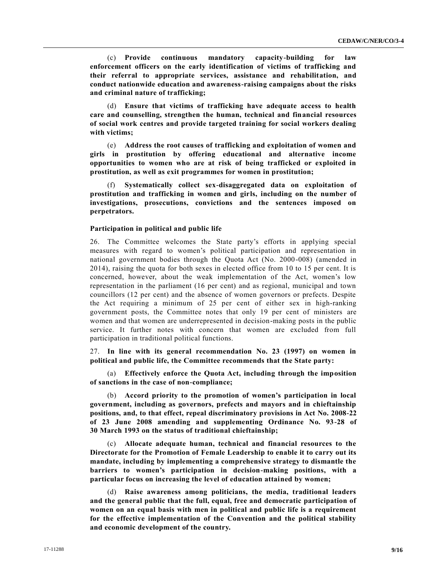(c) **Provide continuous mandatory capacity-building for law enforcement officers on the early identification of victims of trafficking and their referral to appropriate services, assistance and rehabilitation, and conduct nationwide education and awareness-raising campaigns about the risks and criminal nature of trafficking;**

(d) **Ensure that victims of trafficking have adequate access to health care and counselling, strengthen the human, technical and financial resources of social work centres and provide targeted training for social workers dealing with victims;**

(e) **Address the root causes of trafficking and exploitation of women and girls in prostitution by offering educational and alternative income opportunities to women who are at risk of being trafficked or exploited in prostitution, as well as exit programmes for women in prostitution;**

(f) **Systematically collect sex-disaggregated data on exploitation of prostitution and trafficking in women and girls, including on the number of investigations, prosecutions, convictions and the sentences imposed on perpetrators.**

#### **Participation in political and public life**

26. The Committee welcomes the State party's efforts in applying special measures with regard to women's political participation and representation in national government bodies through the Quota Act (No. 2000-008) (amended in 2014), raising the quota for both sexes in elected office from 10 to 15 per cent. It is concerned, however, about the weak implementation of the Act, women's low representation in the parliament (16 per cent) and as regional, municipal and town councillors (12 per cent) and the absence of women governors or prefects. Despite the Act requiring a minimum of 25 per cent of either sex in high-ranking government posts, the Committee notes that only 19 per cent of ministers are women and that women are underrepresented in decision-making posts in the public service. It further notes with concern that women are excluded from full participation in traditional political functions.

27. **In line with its general recommendation No. 23 (1997) on women in political and public life, the Committee recommends that the State party:**

(a) **Effectively enforce the Quota Act, including through the imposition of sanctions in the case of non-compliance;**

(b) **Accord priority to the promotion of women's participation in local government, including as governors, prefects and mayors and in chieftainship positions, and, to that effect, repeal discriminatory provisions in Act No. 2008-22 of 23 June 2008 amending and supplementing Ordinance No. 93-28 of 30 March 1993 on the status of traditional chieftainship;**

(c) **Allocate adequate human, technical and financial resources to the Directorate for the Promotion of Female Leadership to enable it to carry out its mandate, including by implementing a comprehensive strategy to dismantle the barriers to women's participation in decision-making positions, with a particular focus on increasing the level of education attained by women;**

(d) **Raise awareness among politicians, the media, traditional leaders and the general public that the full, equal, free and democratic participation of women on an equal basis with men in political and public life is a requirement for the effective implementation of the Convention and the political stability and economic development of the country.**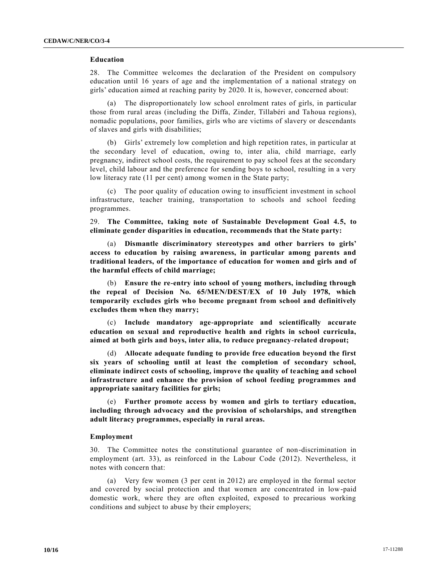#### **Education**

28. The Committee welcomes the declaration of the President on compulsory education until 16 years of age and the implementation of a national strategy on girls' education aimed at reaching parity by 2020. It is, however, concerned about:

(a) The disproportionately low school enrolment rates of girls, in particular those from rural areas (including the Diffa, Zinder, Tillabéri and Tahoua regions), nomadic populations, poor families, girls who are victims of slavery or descendants of slaves and girls with disabilities;

(b) Girls' extremely low completion and high repetition rates, in particular at the secondary level of education, owing to, inter alia, child marriage, early pregnancy, indirect school costs, the requirement to pay school fees at the secondary level, child labour and the preference for sending boys to school, resulting in a very low literacy rate (11 per cent) among women in the State party;

(c) The poor quality of education owing to insufficient investment in school infrastructure, teacher training, transportation to schools and school feeding programmes.

29. **The Committee, taking note of Sustainable Development Goal 4.5, to eliminate gender disparities in education, recommends that the State party:**

(a) **Dismantle discriminatory stereotypes and other barriers to girls' access to education by raising awareness, in particular among parents and traditional leaders, of the importance of education for women and girls and of the harmful effects of child marriage;**

(b) **Ensure the re-entry into school of young mothers, including through the repeal of Decision No. 65/MEN/DEST/EX of 10 July 1978, which temporarily excludes girls who become pregnant from school and definitively excludes them when they marry;**

(c) **Include mandatory age-appropriate and scientifically accurate education on sexual and reproductive health and rights in school curricula, aimed at both girls and boys, inter alia, to reduce pregnancy-related dropout;**

(d) **Allocate adequate funding to provide free education beyond the first six years of schooling until at least the completion of secondary school, eliminate indirect costs of schooling, improve the quality of teaching and school infrastructure and enhance the provision of school feeding programmes and appropriate sanitary facilities for girls;**

(e) **Further promote access by women and girls to tertiary education, including through advocacy and the provision of scholarships, and strengthen adult literacy programmes, especially in rural areas.**

#### **Employment**

30. The Committee notes the constitutional guarantee of non-discrimination in employment (art. 33), as reinforced in the Labour Code (2012). Nevertheless, it notes with concern that:

(a) Very few women (3 per cent in 2012) are employed in the formal sector and covered by social protection and that women are concentrated in low-paid domestic work, where they are often exploited, exposed to precarious working conditions and subject to abuse by their employers;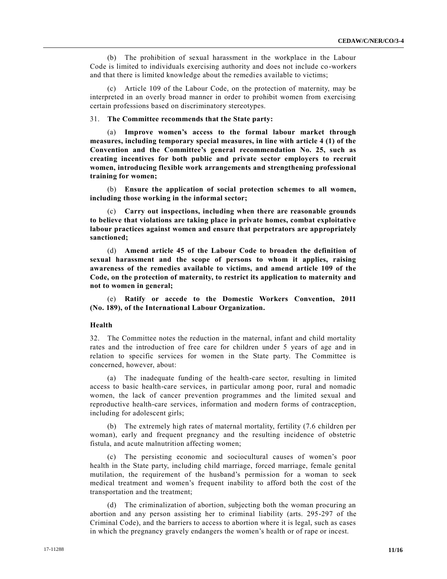(b) The prohibition of sexual harassment in the workplace in the Labour Code is limited to individuals exercising authority and does not include co -workers and that there is limited knowledge about the remedies available to victims;

(c) Article 109 of the Labour Code, on the protection of maternity, may be interpreted in an overly broad manner in order to prohibit women from exercising certain professions based on discriminatory stereotypes.

#### 31. **The Committee recommends that the State party:**

(a) **Improve women's access to the formal labour market through measures, including temporary special measures, in line with article 4 (1) of the Convention and the Committee's general recommendation No. 25, such as creating incentives for both public and private sector employers to recruit women, introducing flexible work arrangements and strengthening professional training for women;**

(b) **Ensure the application of social protection schemes to all women, including those working in the informal sector;**

(c) **Carry out inspections, including when there are reasonable grounds to believe that violations are taking place in private homes, combat exploitative labour practices against women and ensure that perpetrators are appropriately sanctioned;**

(d) **Amend article 45 of the Labour Code to broaden the definition of sexual harassment and the scope of persons to whom it applies, raising awareness of the remedies available to victims, and amend article 109 of the Code, on the protection of maternity, to restrict its application to maternity and not to women in general;**

(e) **Ratify or accede to the Domestic Workers Convention, 2011 (No. 189), of the International Labour Organization.**

#### **Health**

32. The Committee notes the reduction in the maternal, infant and child mortality rates and the introduction of free care for children under 5 years of age and in relation to specific services for women in the State party. The Committee is concerned, however, about:

(a) The inadequate funding of the health-care sector, resulting in limited access to basic health-care services, in particular among poor, rural and nomadic women, the lack of cancer prevention programmes and the limited sexual and reproductive health-care services, information and modern forms of contraception, including for adolescent girls;

(b) The extremely high rates of maternal mortality, fertility (7.6 children per woman), early and frequent pregnancy and the resulting incidence of obstetric fistula, and acute malnutrition affecting women;

(c) The persisting economic and sociocultural causes of women's poor health in the State party, including child marriage, forced marriage, female genital mutilation, the requirement of the husband's permission for a woman to seek medical treatment and women's frequent inability to afford both the cost of the transportation and the treatment;

(d) The criminalization of abortion, subjecting both the woman procuring an abortion and any person assisting her to criminal liability (arts. 295-297 of the Criminal Code), and the barriers to access to abortion where it is legal, such as cases in which the pregnancy gravely endangers the women's health or of rape or incest.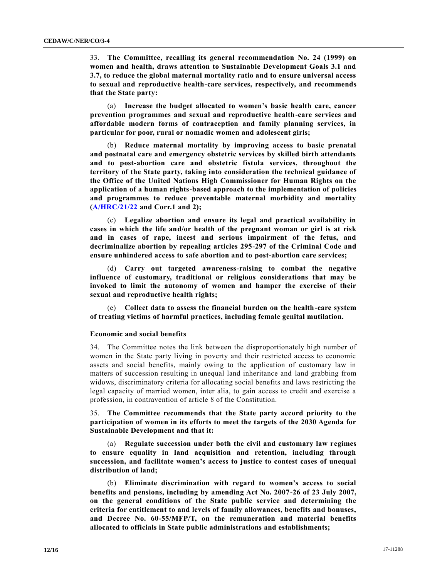33. **The Committee, recalling its general recommendation No. 24 (1999) on women and health, draws attention to Sustainable Development Goals 3.1 and 3.7, to reduce the global maternal mortality ratio and to ensure universal access to sexual and reproductive health-care services, respectively, and recommends that the State party:**

(a) **Increase the budget allocated to women's basic health care, cancer prevention programmes and sexual and reproductive health-care services and affordable modern forms of contraception and family planning services, in particular for poor, rural or nomadic women and adolescent girls;**

(b) **Reduce maternal mortality by improving access to basic prenatal and postnatal care and emergency obstetric services by skilled birth attendants and to post-abortion care and obstetric fistula services, throughout the territory of the State party, taking into consideration the technical guidance of the Office of the United Nations High Commissioner for Human Rights on the application of a human rights-based approach to the implementation of policies and programmes to reduce preventable maternal morbidity and mortality [\(A/HRC/21/22](https://undocs.org/A/HRC/21/22) and Corr.1 and 2);**

(c) **Legalize abortion and ensure its legal and practical availability in cases in which the life and/or health of the pregnant woman or girl is at risk and in cases of rape, incest and serious impairment of the fetus, and decriminalize abortion by repealing articles 295-297 of the Criminal Code and ensure unhindered access to safe abortion and to post-abortion care services;**

(d) **Carry out targeted awareness-raising to combat the negative influence of customary, traditional or religious considerations that may be invoked to limit the autonomy of women and hamper the exercise of their sexual and reproductive health rights;**

(e) **Collect data to assess the financial burden on the health-care system of treating victims of harmful practices, including female genital mutilation.**

#### **Economic and social benefits**

34. The Committee notes the link between the disproportionately high number of women in the State party living in poverty and their restricted access to economic assets and social benefits, mainly owing to the application of customary law in matters of succession resulting in unequal land inheritance and land grabbing from widows, discriminatory criteria for allocating social benefits and laws restricting the legal capacity of married women, inter alia, to gain access to credit and exercise a profession, in contravention of article 8 of the Constitution.

35. **The Committee recommends that the State party accord priority to the participation of women in its efforts to meet the targets of the 2030 Agenda for Sustainable Development and that it:**

(a) **Regulate succession under both the civil and customary law regimes to ensure equality in land acquisition and retention, including through succession, and facilitate women's access to justice to contest cases of unequal distribution of land;**

(b) **Eliminate discrimination with regard to women's access to social benefits and pensions, including by amending Act No. 2007-26 of 23 July 2007, on the general conditions of the State public service and determining the criteria for entitlement to and levels of family allowances, benefits and bonuses, and Decree No. 60-55/MFP/T, on the remuneration and material benefits allocated to officials in State public administrations and establishments;**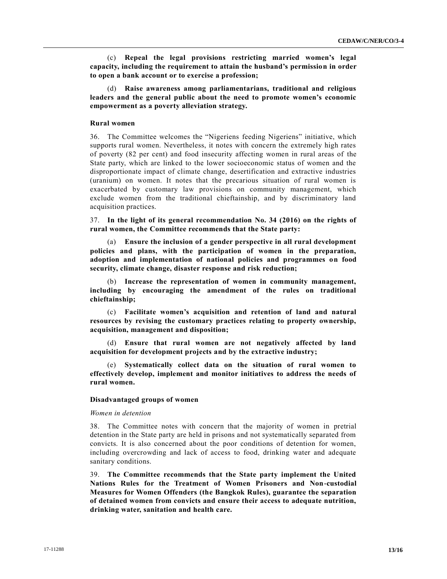(c) **Repeal the legal provisions restricting married women's legal capacity, including the requirement to attain the husband's permission in order to open a bank account or to exercise a profession;**

(d) **Raise awareness among parliamentarians, traditional and religious leaders and the general public about the need to promote women's economic empowerment as a poverty alleviation strategy.**

#### **Rural women**

36. The Committee welcomes the "Nigeriens feeding Nigeriens" initiative, which supports rural women. Nevertheless, it notes with concern the extremely high rates of poverty (82 per cent) and food insecurity affecting women in rural areas of the State party, which are linked to the lower socioeconomic status of women and the disproportionate impact of climate change, desertification and extractive industries (uranium) on women. It notes that the precarious situation of rural women is exacerbated by customary law provisions on community management, which exclude women from the traditional chieftainship, and by discriminatory land acquisition practices.

37. **In the light of its general recommendation No. 34 (2016) on the rights of rural women, the Committee recommends that the State party:**

(a) **Ensure the inclusion of a gender perspective in all rural development policies and plans, with the participation of women in the preparation, adoption and implementation of national policies and programmes on food security, climate change, disaster response and risk reduction;**

(b) **Increase the representation of women in community management, including by encouraging the amendment of the rules on traditional chieftainship;**

(c) **Facilitate women's acquisition and retention of land and natural resources by revising the customary practices relating to property ownership, acquisition, management and disposition;**

(d) **Ensure that rural women are not negatively affected by land acquisition for development projects and by the extractive industry;**

(e) **Systematically collect data on the situation of rural women to effectively develop, implement and monitor initiatives to address the needs of rural women.**

#### **Disadvantaged groups of women**

#### *Women in detention*

38. The Committee notes with concern that the majority of women in pretrial detention in the State party are held in prisons and not systematically separated from convicts. It is also concerned about the poor conditions of detention for women, including overcrowding and lack of access to food, drinking water and adequate sanitary conditions.

39. **The Committee recommends that the State party implement the United Nations Rules for the Treatment of Women Prisoners and Non-custodial Measures for Women Offenders (the Bangkok Rules), guarantee the separation of detained women from convicts and ensure their access to adequate nutrition, drinking water, sanitation and health care.**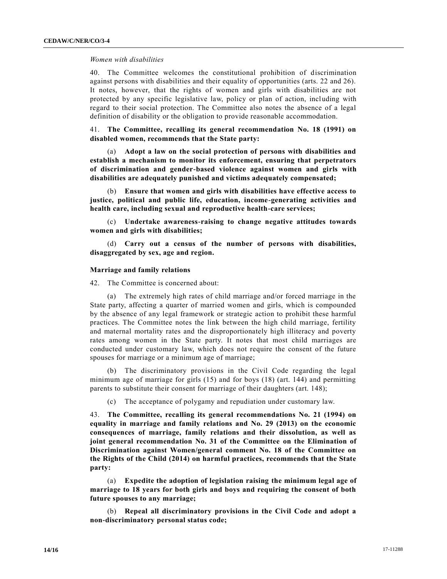#### *Women with disabilities*

40. The Committee welcomes the constitutional prohibition of discrimination against persons with disabilities and their equality of opportunities (arts. 22 and 26). It notes, however, that the rights of women and girls with disabilities are not protected by any specific legislative law, policy or plan of action, including with regard to their social protection. The Committee also notes the absence of a legal definition of disability or the obligation to provide reasonable accommodation.

41. **The Committee, recalling its general recommendation No. 18 (1991) on disabled women, recommends that the State party:**

(a) **Adopt a law on the social protection of persons with disabilities and establish a mechanism to monitor its enforcement, ensuring that perpetrators of discrimination and gender-based violence against women and girls with disabilities are adequately punished and victims adequately compensated;**

(b) **Ensure that women and girls with disabilities have effective access to justice, political and public life, education, income-generating activities and health care, including sexual and reproductive health-care services;**

(c) **Undertake awareness-raising to change negative attitudes towards women and girls with disabilities;**

(d) **Carry out a census of the number of persons with disabilities, disaggregated by sex, age and region.**

#### **Marriage and family relations**

42. The Committee is concerned about:

(a) The extremely high rates of child marriage and/or forced marriage in the State party, affecting a quarter of married women and girls, which is compounded by the absence of any legal framework or strategic action to prohibit these harmful practices. The Committee notes the link between the high child marriage, fertility and maternal mortality rates and the disproportionately high illiteracy and poverty rates among women in the State party. It notes that most child marriages are conducted under customary law, which does not require the consent of the future spouses for marriage or a minimum age of marriage;

(b) The discriminatory provisions in the Civil Code regarding the legal minimum age of marriage for girls (15) and for boys (18) (art. 144) and permitting parents to substitute their consent for marriage of their daughters (art. 148);

(c) The acceptance of polygamy and repudiation under customary law.

43. **The Committee, recalling its general recommendations No. 21 (1994) on equality in marriage and family relations and No. 29 (2013) on the economic consequences of marriage, family relations and their dissolution, as well as joint general recommendation No. 31 of the Committee on the Elimination of Discrimination against Women/general comment No. 18 of the Committee on the Rights of the Child (2014) on harmful practices, recommends that the State party:**

(a) **Expedite the adoption of legislation raising the minimum legal age of marriage to 18 years for both girls and boys and requiring the consent of both future spouses to any marriage;**

(b) **Repeal all discriminatory provisions in the Civil Code and adopt a non-discriminatory personal status code;**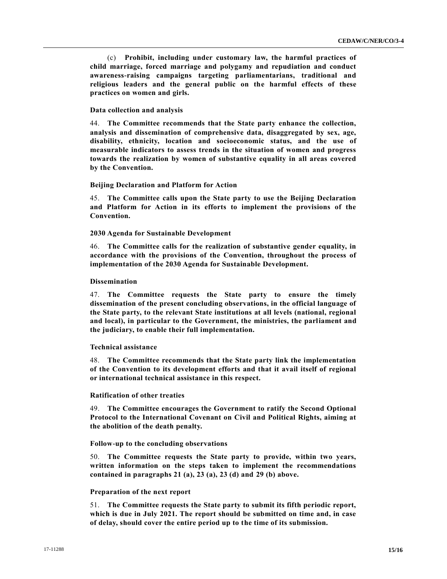(c) **Prohibit, including under customary law, the harmful practices of child marriage, forced marriage and polygamy and repudiation and conduct awareness-raising campaigns targeting parliamentarians, traditional and religious leaders and the general public on the harmful effects of these practices on women and girls.**

#### **Data collection and analysis**

44. **The Committee recommends that the State party enhance the collection, analysis and dissemination of comprehensive data, disaggregated by sex, age, disability, ethnicity, location and socioeconomic status, and the use of measurable indicators to assess trends in the situation of women and progress towards the realization by women of substantive equality in all areas covered by the Convention.**

#### **Beijing Declaration and Platform for Action**

45. **The Committee calls upon the State party to use the Beijing Declaration and Platform for Action in its efforts to implement the provisions of the Convention.**

#### **2030 Agenda for Sustainable Development**

46. **The Committee calls for the realization of substantive gender equality, in accordance with the provisions of the Convention, throughout the process of implementation of the 2030 Agenda for Sustainable Development.**

#### **Dissemination**

47. **The Committee requests the State party to ensure the timely dissemination of the present concluding observations, in the official language of the State party, to the relevant State institutions at all levels (national, regional and local), in particular to the Government, the ministries, the parliament and the judiciary, to enable their full implementation.**

### **Technical assistance**

48. **The Committee recommends that the State party link the implementation of the Convention to its development efforts and that it avail itself of regional or international technical assistance in this respect.**

### **Ratification of other treaties**

49. **The Committee encourages the Government to ratify the Second Optional Protocol to the International Covenant on Civil and Political Rights, aiming at the abolition of the death penalty.**

### **Follow-up to the concluding observations**

50. **The Committee requests the State party to provide, within two years, written information on the steps taken to implement the recommendations contained in paragraphs 21 (a), 23 (a), 23 (d) and 29 (b) above.**

### **Preparation of the next report**

51. **The Committee requests the State party to submit its fifth periodic report, which is due in July 2021. The report should be submitted on time and, in case of delay, should cover the entire period up to the time of its submission.**